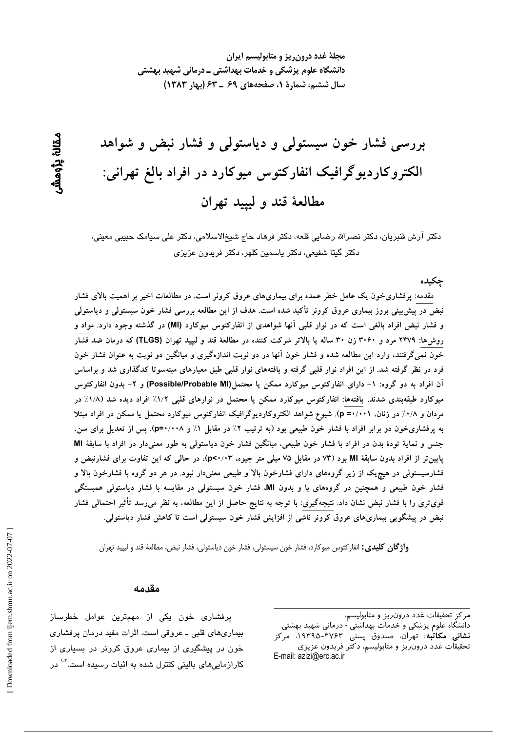مجلهٔ غدد درون ریز و متابولیسم ایران دانشگاه علوم پزشکی و خدمات بهداشتی ــ درمانی شهید بهشتی سال ششم، شمارهٔ ۱، صفحههای ۶۹ ـ ۶۳ (بهار ۱۳۸۳)

بررسی فشار خون سیستولی و دیاستولی و فشار نبض و شواهد الکتروکاردیوگرافیک انفارکتوس میوکارد در افراد بالغ تهرانی: مطالعهٔ قند و لیپید تهران

دکتر آرش قنبریان، دکتر نصرالله رضایی قلعه، دکتر فرهاد حاج شیخالاسلامی، دکتر علی سیامک حبیبی معینی، دكتر گيتا شفيعي، دكتر ياسمين كلهر، دكتر فريدون عزيزي

جكىدە

مقدمه: پرفشاریخون یک عامل خطر عمده برای بیماریهای عروق کرونر است. در مطالعات اخیر بر اهمیت بالای فشار نبض در پیش بینی بروز بیماری عروق کرونر تأکید شده است. هدف از این مطالعه بررسی فشار خون سیستولی و دیاستولی و فشار نبض افراد بالغی است که در نوار قلبی آنها شواهدی از انفارکتوس میوکارد (MI) در گذشته وجود دارد. مواد و روشها: ۲۴۷۹ مرد و ۳۰۶۰ زن ۳۰ ساله یا بالاتر شرکت کننده در مطالعهٔ قند و لیپید تهران (TLGS) که درمان ضد فشار خون نمی گرفتند، وارد این مطالعه شده و فشار خون آنها در دو نوبت اندازهگیری و میانگین دو نوبت به عنوان فشار خون فرد در نظر گرفته شد. از این افراد نوار قلبی گرفته و یافتههای نوار قلبی طبق معیارهای مینهسوتا کدگذاری شد و براساس آن افراد به دو گروه: ١- دارای انفارکتوس میوکارد ممکن یا محتمل(Possible/Probable MI) و ۲- بدون انفارکتوس میوکارد طبقهبندی شدند. یافتهها: انفارکتوس میوکارد ممکن یا محتمل در نوارهای قلبی ۱/۲٪ افراد دیده شد (۱/۸٪ در مردان و ۰/۸٪ در زنان، p =۰/۰۰۱). شیوع شواهد الکتروکاردیوگرافیک انفارکتوس میوکارد محتمل یا ممکن در افراد مبتلا به پرفشاریخون دو برابر افراد با فشار خون طبیعی بود (به ترتیب ۲٪ در مقابل ۱٪ و ۰/۰۰۸). پس از تعدیل برای سن، جنس و نمایهٔ تودهٔ بدن در افراد با فشار خون طبیعی، میانگین فشار خون دیاستولی به طور معنیدار در افراد با سابقهٔ Ml پایین تر از افراد بدون سابقهٔ MI بود (۷۳ در مقابل ۷۵ میلی متر جیوه، p<۰/۰۳)، در حالی که این تفاوت برای فشارنبض و فشارسیستولی در هیچ یک از زیر گروههای دارای فشارخون بالا و طبیعی معنیدار نبود. در هر دو گروه با فشارخون بالا و فشار خون طبیعی و همچنین در گروههای با و بدون MI، فشار خون سیستولی در مقایسه با فشار دیاستولی همبستگی قویتری را با فشار نبض نشان داد. نتیجهگیری: با توجه به نتایج حاصل از این مطالعه، به نظر میرسد تأثیر احتمالی فشار نبض در پیشگویی بیماریهای عروق کرونر ناشی از افزایش فشار خون سیستولی است تا کاهش فشار دیاستولی.

**واژگان کلیدی:** انفارکتوس میوکارد، فشار خون سیستولی، فشار خون دیاستولی، فشار نبض، مطالعهٔ قند و لیپید تهران

#### مقدمه

پرفشاری خون یکی از مهمترین عوامل خطرساز بیماریهای قلبی ـ عروقی است. اثرات مفید درمان پرفشاری خون در پیشگیری از بیماری عروق کرونر در بسیاری از کارازمایی *ه*ای بالینی کنترل شده به اثبات رسیده است.<sup>۱۰۲</sup> در

ىقانۇ بۇھش

مركز تحقيقات غدد درون ريز و متابوليسم،

دانشگاه علوم پزشکی و خدمات بهداشتی - درمانی شهید بهشتی **نشانی مکاتبه**؛ تهران، صندوق پستی ۴۷۶۳–۱۹۳۹۵، مرکز تحقيقات غدد درون ريز و متابوليسم، دكتر فريدون عزيزى E-mail: azizi@erc.ac.ir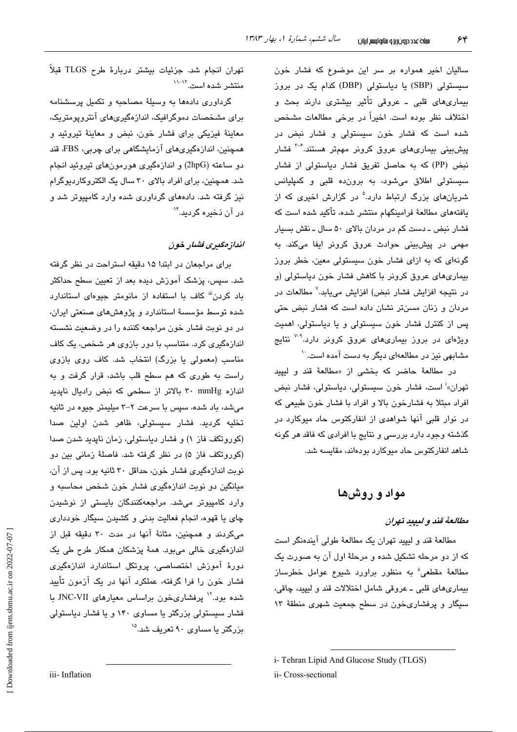سالیان اخیر همواره بر سر این موضوع که فشار خون سیستولی (SBP) یا دیاستولی (DBP) کدام یک در بروز بیماریهای قلبی ـ عروقی تأثیر بیشتری دارند بحث و اختلاف نظر بوده است. اخیراً در برخی مطالعات مشخص شده است که فشار خون سیستولی و فشار نبض در پیشبینی بیماریهای عروق کرونر مهمتر هستند.<sup>۳-۶</sup> فشار نبض (PP) که به حاصل تفریق فشار دیاستولی از فشار سیستولی اطلاق میشود، به برون،ده قلبی و کمپلیانس شریانهای بزرگ ارتباط دارد.<sup>۵</sup> در گزارش اخیری که از یافتههای مطالعهٔ فرامینگهام منتشر شده، تأکید شده است که فشار نبض ـ دست کم در مردان بالای ۵۰ سال ـ نقش بسیار مهمی در پیشبینی حوادث عروق کرونر ایفا میکند. به گونهای که به ازای فشار خون سیستولی معین، خطر بروز بیماریهای عروق کرونر با کاهش فشار خون دیاستولی (و در نتیجه افزایش فشار نبض) افزایش می،یابد.<sup>۷</sup> مطالعات در مردان و زنان مسنتر نشان داده است که فشار نبض حتی پس از کنترل فشار خون سیستولی و یا دیاستولی، اهمیت ویژهای در بروز بیماریهای عروق کرونر دارد.<sup>۹-۷</sup> نتایج مشابهی نیز در مطالعهای دیگر به دست آمده است.<sup>۱۰</sup>

در مطالعهٔ حاضر که بخشی از «مطالعهٔ قند و لیپید تهران»<sup>:</sup> است، فشار خون سیستولی، دیاستولی، فشار نبض افراد مبتلا به فشارخون بالا و افراد با فشار خون طبیعی که در نوار قلبی آنها شواهدی از انفارکتوس حاد میوکارد در گذشته وجود دارد بررسی و نتایج با افرادی که فاقد هر گونه شاهد انفارکتوس حاد میوکارد بودهاند، مقایسه شد.

مواد و روشها

## مطالعهٔ قند و لیبید تهران

مطالعهٔ قند و لیپید تهران یک مطالعهٔ طولی آیندهنگر است که از دو مرحله تشکیل شده و مرحلهٔ اول آن به صورت یک مطالعهٔ مقطعی" به منظور براورد شیوع عوامل خطرساز بیماریهای قلبی ــ عروقی شامل اختلالات قند و لیپید، چاقی، سیگار و پرفشاریخون در سطح جمعیت شهری منطقهٔ ۱۳

تهران انجام شد. جزئیات بیشتر دربارهٔ طرح TLGS قبلاً منتشر شده است. ١٢-١١

گرداوری دادهها به وسیلهٔ مصاحبه و تکمیل پرسشنامه برای مشخصات دموگرافیک، اندازهگیریهای آنتروپومتریک، معاينهٔ فيزيكي براي فشار خون، نبض و معاينهٔ تيروئيد و همچنین، اندازەگیریهای آزمایشگاهی برای چربی، FBS، قند دو ساعته (2hpG) و اندازهگیری هورمونهای تیروئید انجام شد. همچنین، برای افراد بالای ۳۰ سال یک الکتروکاردیوگرام نیز گرفته شد. دادههای گرداوری شده وارد کامپیوتر شد و در آن ذخیره گریند.<sup>۱۴</sup>

# انداز مگیری فشیار خون

برای مراجعان در ابتدا ۱۵ دقیقه استراحت در نظر گرفته شد. سپس، پزشک آموزش دیده بعد از تعیین سطح حداکثر باد کردن<sup>iii</sup> کاف با استفاده از مانومتر جیوها*ی* استاندارد شده توسط مؤسسهٔ استاندارد و پژوهشهای صنعتی ایران، در دو نوبت فشار خون مراجعه کننده را در وضعیت نشسته اندازهگیری کرد. متناسب با دور بازوی هر شخص، یک کاف مناسب (معمولی یا بزرگ) انتخاب شد. کاف روی بازوی راست به طوری که هم سطح قلب باشد، قرار گرفت و به اندازه ۳۰ mmHg بالاتر از سطحی که نبض رادیال ناپدید می شد، باد شده، سپس با سرعت ۲–۳ میلیمتر جیوه در ثانیه تخليه گرديد. فشار سيستولى، ظاهر شدن اولين صدا (کوروتکف فاز ۱) و فشار دیاستولی، زمان ناپدید شدن صدا (کوروتکف فاز ۵) در نظر گرفته شد. فاصلهٔ زمانی بین دو نوبت اندازهگیری فشار خون، حداقل ۳۰ ثانیه بود. پس از آن، میانگین دو نوبت اندازهگیری فشار خون شخص محاسبه و وارد کامپیوتر میشد. مراجعهکنندگان بایستی از نوشیدن چای یا قهوه، انجام فعالیت بدنی و کشیدن سیگار خودداری میکردند و همچنین، مثانهٔ آنها در مدت ۳۰ دقیقه قبل از اندازهگیری خالی می بود. همهٔ پزشکان همکار طرح طی یک دورهٔ آموزش اختصاصی، پروتکل استاندارد اندازهگیری فشار خون را فرا گرفته، عملکرد آنها در یک آزمون تأیید شده بود.<sup>۱۲</sup> پرفشاریخون براساس معیارهای JNC-VII با فشار سیستولی بزرگتر یا مساوی ۱۴۰ و یا فشار دیاستولی بزرگتر یا مساوی ۹۰ تعریف شد.<sup>۱۵</sup>

i-Tehran Lipid And Glucose Study (TLGS)

ii- Cross-sectional

Downloaded from ijem.sbmu.ac.ir on 2022-07-07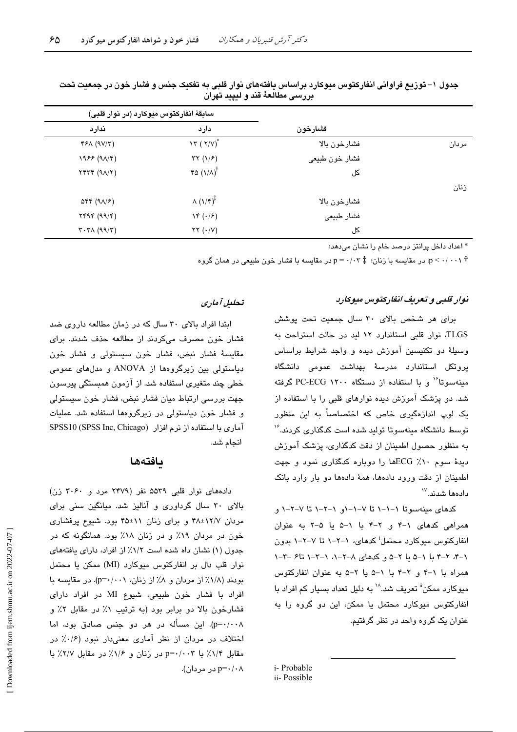|       |                | سابقهٔ انفارکتوس میوکارد (در نوار قلبی)    |                                                                         |
|-------|----------------|--------------------------------------------|-------------------------------------------------------------------------|
|       | فشارخون        | دارد                                       | ندارد                                                                   |
| مردان | فشارخون بالا   | $\lambda \tau (\tau/V)^{*}$                | YFA (9V/T)                                                              |
|       | فشار خون طبیعی | $\tau\tau$ (1/ $\epsilon$ )                | $1955 (9\lambda/\mathcal{F})$                                           |
|       | کل             | $r$ $(1/\lambda)^{\dagger}$                | $Y^*Y^* (9\Lambda/Y)$                                                   |
| زنان  |                |                                            |                                                                         |
|       | فشارخون بالا   | $\Lambda(\lambda/\mathfrak{r})^{\ddagger}$ | $\Delta \mathbf{f} \mathbf{f}$ (9 $\Delta$ / $\mathbf{f}$ )             |
|       | فشار طبيعي     | $\mathcal{N}(\cdot/\mathcal{F})$           | YYY (99/Y)                                                              |
|       | کل             | $\tau\tau$ $(\cdot/\nu)$                   | $\mathbf{r} \cdot \mathbf{r} \wedge (\mathbf{q} \mathbf{q}/\mathbf{r})$ |

جدول ۱– توزیع فراوانی انفارکتوس میوکارد براساس یافتههای نوار قلبی به تفکیک جنس و فشار خون در جمعیت تحت بررسي مطالعهٔ قند و لیپید تهران

\* اعداد داخل پرانتز درصد خام را نشان می،دهد؛

، در مقایسه با زنان؛  $p = \cdot / \cdot r$  در مقایسه با فشار خون طبیعی در همان گروه $p \leq \cdot / \cdot \cdot \gamma$ 

### نوار قلبی و تعریف انقار کتوس میوکارد

برای هر شخص بالای ۳۰ سال جمعیت تحت پوشش TLGS، نوار قلبی استاندارد ١٢ لید در حالت استراحت به وسيلهٔ دو تکنيسين آموزش ديده و واجد شرايط براساس یروتکل استاندارد مدرسهٔ بهداشت عمومی دانشگاه مینهسوتا<sup>۱۶</sup> و با استفاده از دستگاه ۲۰۰۰ PC-ECG گرفته شد. دو پزشک آموزش دیده نوارهای قلبی را با استفاده از یک لوپ اندازهگیری خاص که اختصاصاً به این منظور توسط دانشگاه مىنەسوتا تولىد شده است كدگذارى كردند.'' به منظور حصول اطمینان از دقت کدگذاری، پزشک آموزش دیدهٔ سوم ۱۰٪ ECGها را دوباره کدگذاری نمود و جهت اطمینان از دقت ورود دادهها، همهٔ دادهها دو بار وارد بانک دادەھا شدند.```

کدهای مینهسوتا ۱–۱–۱ تا ۷–۱–۱و ۱–۲–۱ تا ۷–۲–۱ و همراهی کدهای ١-۴ و ٢-۴ با ١-۵ يا ۵-٢ به عنوان انفارکتوس میوکارد محتمل<sup>:</sup> کدهای، ۱–۲–۱ تا ۷–۲–۱ بدون ۰۱–۴. ۲–۴ با ۱–۵ با ۲–۵ و کدهای ۸–۲–۰٫ ۱–۳–۱ تا۶ –۲–۱ همراه با ١-۴ و ٢-۴ با ١-۵ با ٢-۵ به عنوان انفاركتوس میوکارد ممکن" تعریف شد.<sup>۱۸</sup> به دلیل تعداد بسیار کم افراد با انفارکتوس میوکارد محتمل یا ممکن، این دو گروه را به عنوان یک گروه واحد در نظر گرفتیم.

i-Probable ii-Possible

# تحليل آماري

ایتدا افراد بالای ۳۰ سال که در زمان مطالعه داروی ضد فشار خون مصرف مىكردند از مطالعه حذف شدند. براى مقايسهٔ فشار نبض، فشار خون سيستولى و فشار خون دیاستولی بین زیرگروهها از ANOVA و مدلهای عمومی خطی چند متغیری استفاده شد. از آزمون همبستگی پیرسون جهت بررسی ارتباط میان فشار نبض، فشار خون سیستولی و فشار خون دیاستولی در زیرگروهها استفاده شد. عملیات آماري با استفاده از نرم افزار (SPSS Inc, Chicago) انجام شد.

## بافتهها

دادههای نوار قلبی ۵۵۳۹ نفر (۲۴۷۹ مرد و ۳۰۶۰ زن) بالای ۳۰ سال گرداوری و آنالیز شد. میانگین سنی برای مردان ۱۲/۷±۴۸ و برای زنان ۱۱±۴۵ بود. شیوع پرفشاری خون در مردان ۱۹٪ و در زنان ۱۸٪ بود. همانگونه که در جدول (١) نشان داه شده است ١/٢٪ از افراد، دارای یافتههای نوار قلب دال بر انفاركتوس ميوكارد (MI) ممكن يا محتمل بودند (١/٨٪ از مردان و ٨٪ از زنان، p=٠/٠٠١). در مقايسه با افراد با فشار خون طبیعی، شیوع MI در افراد دارای فشارخون بالا دو برابر بود (به ترتیب ۱٪ در مقابل ۲٪ و p=۰/۰۰۸). این مسأله در هر دو جنس صادق بود، اما اختلاف در مردان از نظر آماری معنیدار نبود (۰/۶٪ در مقابل ١/٢٪ با p=٠/٠٠٣ در زنان و ١/٤٪ در مقابل ٢/٧٪ با p=۰/۰۸ در مردان).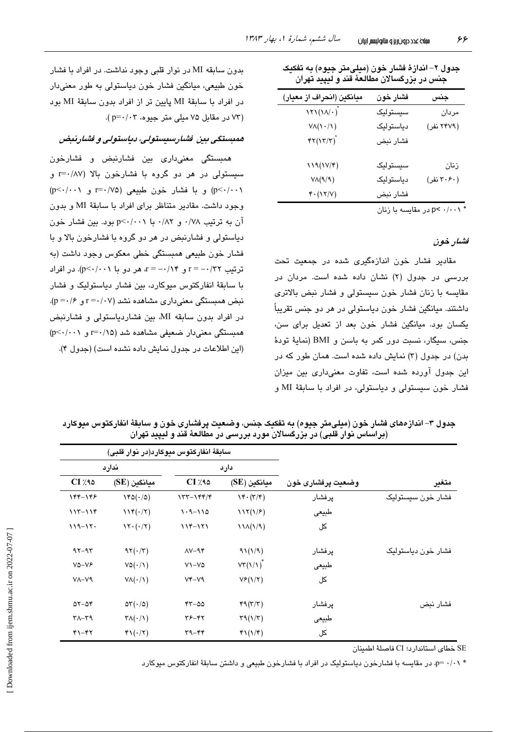| میانگین (انحراف از معیار)                              | فشار خون  | جنس        |
|--------------------------------------------------------|-----------|------------|
| $\lambda Y \lambda (\lambda / \cdot \right)^2$         | سيستوليک  | مردان      |
| $V\Lambda(\mathcal{N}/\mathcal{N})$                    | دياستوليک | (۲۴۷۹ نفر) |
| $\mathfrak{kr}(\mathfrak{l}\mathfrak{r}/\mathfrak{r})$ | فشار نبض  |            |
| $119(1V/\mathcal{F})$                                  | سيستوليک  | زنان       |
| $V\Lambda(\mathcal{A}/\mathcal{A})$                    | دياستوليک | (۳۰۶۰ نفر) |
| $Y \cdot (1Y/V)$                                       | فشار نبض  |            |
|                                                        |           |            |

جدول ۲– اندازهٔ فشار خون (میلی،متر جیوه) به تفکیک جنس در بزرگسالان مطالعهٔ قند و لیپید تهران

در مقاسسه با زنان p< ۰/۰۰۱

#### فشار خون

مقادیر فشار خون اندازهگیری شده در جمعیت تحت بررسی در جدول (۲) نشان داده شده است. مردان در مقایسه با زنان فشار خون سیستولی و فشار نبض بالاتری داشتند. ميانگين فشار خون دياستولي در هر دو جنس تقريباً یکسان بود. میانگین فشار خون بعد از تعدیل برای سن، جنس، سيگار، نسبت دور كمر به باسن و BMI (نماية تودة بدن) در جدول (۳) نمایش داده شده است. همان طور که در این جدول آورده شده است، تفاوت معنیداری بین میزان فشار خون سيستولى و دياستولى، در افراد با سابقهٔ MI و

بدون سابقه MI در نوار قلبی وجود نداشت. در افراد با فشار خون طبيعي، ميانگين فشار خون دياستولي به طور معنىدار در افراد با سابقة MI پايين تر از افراد بدون سابقة MI بود (۷۳ در مقابل ۷۵ میلی متر جیوه، ۲۰۲-p=۰/۰۳).

## همبستگی بین اشارسیستولی، دیاستولی و اشارنبض

همىستگى معنىدارى بين فشارنيض و فشارخون سیستولی در هر دو گروه با فشارخون بالا (r=۰/۸۷ و p<٠/٠٠١) و با فشار خون طبيعي (r=٠/٧۵ و p<٠/٠٠١) وجود داشت. مقادیر متناظر برای افراد با سابقهٔ MI و بدون آن به ترتیب ۰/۷۸ و ۰/۸۲ با p<۰/۰۰۱ بود. بین فشار خون دیاستولی و فشارنبض در هر دو گروه با فشارخون بالا و با فشار خون طبيعي همبستگي خطي معكوس وجود داشت (به ترتيب r = -- /٢٢ و r = -- /١۴ هر دو با p<-/--). در افراد با سابقهٔ انفارکتوس میوکارد، بین فشار دیاستولیک و فشار  $(p = \cdot / 5)$ نیض همستگی معنی داری مشاهده نشد (r =  $\cdot$ /۰۷ و در افراد بدون سابقه MI، بين فشاردياستولى و فشارنبض همبستگی معنیدار ضعیفی مشاهده شد (r=۰/۱۵ و p<۰/۰۰۱) (این اطلاعات در حدول نمایش داده نشده است) (حدول ۴).

|                    |                   | سابقةً انفاركتوس ميوكارد(در نوار قلبي) |                                       |                                     |                       |  |
|--------------------|-------------------|----------------------------------------|---------------------------------------|-------------------------------------|-----------------------|--|
|                    | وضعيت پرفشاری خون | دارد                                   |                                       | ندارد                               |                       |  |
| متغير              |                   | میانگین (SE)                           | $CI \times 10$                        | ميانگين (SE)                        | $CI \times 10$        |  |
| فشار خون سيستوليک  | يرفشار            | $\mathcal{N}(\mathcal{K},\mathcal{K})$ | $157 - 199/9$                         | $140(\cdot/\delta)$                 | 144-148               |  |
|                    | طبيعي             | 117(1/F)                               | $1.9 - 110$                           | $114(\cdot/7)$                      | $117 - 119$           |  |
|                    | کل                | $11\Lambda(1/9)$                       | $119 - 171$                           | $\Upsilon \cdot (\cdot / \Upsilon)$ | $119 - 17.$           |  |
| فشار خون دياستوليک | پرفشار            | 91(1/9)                                | $\Lambda V - \mathcal{A} \mathcal{F}$ | $97(\cdot/7)$                       | $97 - 97$             |  |
|                    | طبيعي             | $VT(1/\lambda)^*$                      | $V - V\Delta$                         | $V\Delta(\cdot/\Lambda)$            | $V\Delta - VF$        |  |
|                    | کل                | $V_F(Y Y)$                             | $V^*-V9$                              | $V\Lambda(\cdot/\Lambda)$           | $V - V$ ۹             |  |
| فشار نبض           | پرفشار            | 49(7/7)                                | $rr - \omega \omega$                  | $\Delta \tau (\cdot / \Delta)$      | $\Delta x - \Delta y$ |  |

 $\tau \mathcal{A}(\mathcal{N})$ 

 $f\Gamma(\gamma/\tau)$ 

 $YS-YY$ 

 $44 - 66$ 

حدول ٣– انداز مهاي فشار خون (مبلے متر حيوم) په تفکیک چنس، وضعیت پر فشار ي خون و سابقۀ انفار کتوس میوکار د

SE خطاي استاندار د؛ CI فاصلهٔ اطمينان

\* ۰/۱۰ - p، در مقایسه با فشارخون دیاستولیک در افراد با فشارخون طبیعی و داشتن سابقهٔ انفارکتوس میوکارد

طبيعي

کل

 $\tau \wedge -\tau \wedge$ 

 $Y - YY$ 

 $\mathsf{TA}(\cdot/\mathsf{A})$ 

 $\mathfrak{r}\setminus(\cdot/\tau)$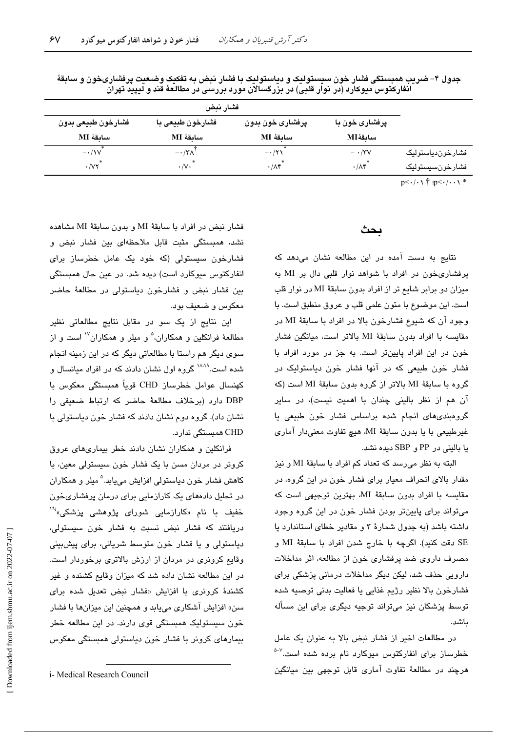| فشارخون طبيعي بدون                | فشارخون طبیعی با     | پرفشاری خون بدون  | پرفشاری خون با    |                  |
|-----------------------------------|----------------------|-------------------|-------------------|------------------|
| ساىقۀ MI                          | ساىقة MI             | ساىقة MI          | ساىقۀ MI          |                  |
| $-\cdot/1V$                       | $-\cdot/\tau\Lambda$ | $-\cdot/\tau$     | $- \cdot$ /۳۷     | فشارخوندياستوليک |
| $\cdot$ / $\vee\vee$ <sup>*</sup> | $\cdot/\vee\cdot$    | $\cdot/\Lambda f$ | $\cdot/\Lambda f$ | فشارخونسيستوليک  |

جدول ۴– ضریب همبستگی فشار خون سیستولیک و دیاستولیک با فشار نبض به تفکیک وضعیت پرفشاریخون و سابقهٔ انفارکتوس میوکارد (در نوار قلبی) در بزرگسالان مورد بررسی در مطالعهٔ قند و لیپید تهران

 $p<\cdot/\cdot\setminus\stackrel{+}{\uparrow}$  :p $<\cdot/\cdot\cdot\setminus\stackrel{*}{\uparrow}$ 

# بحث

نتایج به دست آمده در این مطالعه نشان میدهد که پرفشاریخون در افراد با شواهد نوار قلبی دال بر MI به میزان دو برابر شایع تر از افراد بدون سابقهٔ MI در نوار قلب است. این موضوع با متون علمی قلب و عروق منطبق است. با وجود آن که شیوع فشارخون بالا در افراد با سابقهٔ MI در مقايسه با افراد بدون سابقة MI بالاتر است، ميانگين فشار خون در این افراد پایینتر است. به جز در مورد افراد با فشار خون طبیعی که در آنها فشار خون دیاستولیک در گروه با سابقهٔ MI بالاتر از گروه بدون سابقهٔ MI است (که آن هم از نظر بالینی چندان با اهمیت نیست)، در سایر گروهبندی های انجام شده براساس فشار خون طبیعی یا غيرطبيعي با يا بدون سابقة MI، هيچ تفاوت معنىدار آماري يا باليني در PP و SBP ديده نشد.

البته به نظر می رسد که تعداد کم افراد با سابقهٔ MI و نیز مقدار بالای انحراف معیار برای فشار خون در این گروه، در مقایسه با افراد بدون سابقهٔ MI، بهترین توجیهی است که میتواند برای پایینتر بودن فشار خون در این گروه وجود داشته باشد (به جدول شمارهٔ ۳ و مقادیر خطای استاندارد یا SE دقت كنيد). اگرچه با خارج شدن افراد با سابقهٔ MI و مصرف داروی ضد پرفشاری خون از مطالعه، اثر مداخلات دارویی حذف شد، لیکن دیگر مداخلات درمانی پزشکی برای فشارخون بالا نظیر رژیم غذایی یا فعالیت بدنی توصیه شده توسط پزشکان نیز میتواند توجیه دیگری برای این مسأله ىاشد.

در مطالعات اخیر از فشار نبض بالا به عنوان یک عامل خطرساز برا*ی* انفارکتوس میوکارد نام برده شده است.<sup>۷-د</sup> هرچند در مطالعهٔ تفاوت آماری قابل توجهی بین میانگین

فشار نيض در افراد يا سابقة MI و بدون سابقة MI مشاهده نشد، همبستگی مثبت قابل ملاحظهای بین فشار نبض و فشارخون سیستولی (که خود یک عامل خطرساز برای انفارکتوس میوکارد است) دیده شد. در عین حال همبستگی بین فشار نبض و فشارخون دیاستولی در مطالعهٔ حاضر معكوس و ضعيف بود.

این نتایج از یک سو در مقابل نتایج مطالعاتی نظیر مطالعهٔ فرانکلین و همکاران،<sup>۵</sup> و میلر و همکاران<sup>۱۷</sup> است و از سوی دیگر هم راستا با مطالعاتی دیگر که در این زمینه انجام شده است.<sup>۱۸،۱۹</sup> گروه اول نشان دادند که در افراد میانسال و كهنسال عوامل خطرساز CHD قوياً همبستگى معكوس با DBP دارد (برخلاف مطالعة حاضر كه ارتباط ضعيفى را نشان داد). گروه دوم نشان دادند که فشار خون دیاستولی یا CHD ھمبستگی ندارد.

فرانکلین و همکاران نشان دادند خطر بیماریهای عروق کرونر در مردان مسن با یک فشار خون سیستولی معین، با کاهش فشار خون دیاستولی افزایش مے،پاید.<sup>۵</sup> میلر و همکاران در تحلیل دادههای یک کارازمایی برای درمان پرفشاریخون خفیف با نام «کارازمایی شورا*ی* پژوهش*ی* پزشکی،<sup>۶۱</sup>۰ دریافتند که فشار نبض نسبت به فشار خون سیستولی، دیاستولی و یا فشار خون متوسط شریانی، برای پیشبینی وقایع کرونری در مردان از ارزش بالاتری برخوردار است. در این مطالعه نشان داده شد که میزان وقایع کشنده و غیر کشندهٔ کرونری با افزایش «فشار نبض تعدیل شده برای سن» افزایش آشکاری میبابد و همچنین این میزانها با فشار خون سیستولیک همبستگی قوی دارند. در این مطالعه خطر بیمارهای کرونر با فشار خون دیاستولی همبستگی معکوس

i- Medical Research Council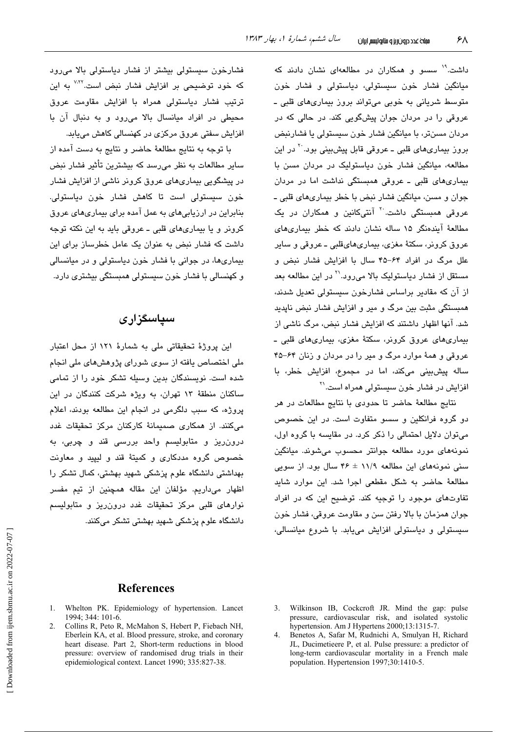داشت.<sup>۱۹</sup> سسو و همکاران در مطالعهای نشان دادند که میانگین فشار خون سیستولی، دیاستولی و فشار خون متوسط شریانی به خوبی میتواند بروز بیماریهای قلبی ـ عروقی را در مردان جوان پیشگویی کند. در حالی که در مردان مسنڌر، با ميانگين فشار خون سيستولي يا فشارنبض بروز بیماریهای قلبی ــ عروقی قابل پیشبینی بود<sup>. ۲</sup> در این مطالعه، میانگین فشار خون دیاستولیک در مردان مسن با بیماریهای قلبی ـ عروقی همبستگی نداشت اما در مردان جوان و مسن، مبانگین فشار نیض یا خطر بیماریهای قلبی ــ عروقی همبستگی داشت<sup>. ۲</sup> آنتیکانین و همکاران در یک مطالعهٔ آیندهنگر ۱۵ ساله نشان دادند که خطر بیماری های عروق کرونر، سکتهٔ مغزی، بیماریهایقلبی ــ عروقی و سایر علل مرگ در افراد ۶۴–۴۵ سال با افزایش فشار نبض و مستقل از فشار دیاستولیک بالا میرود.'` در این مطالعه بعد از آن که مقادیر پراساس فشارخون سیستولی تعدیل شدند، همبستگی مثبت بین مرگ و میر و افزایش فشار نبض ناپدید شد. آنها اظهار داشتند که افزایش فشار نبض، مرگ ناشی از بیماریهای عروق کرونر، سکتهٔ مغزی، بیماریهای قلبی ـ عروقی و همهٔ موارد مرگ و میر را در مردان و زنان ۶۴–۴۵ ساله پیشبینی میکند، اما در مجموع، افزایش خطر، با افزایش در فشار خون سیستولی همراه است.<sup>۲۱</sup>

نتايج مطالعهٔ حاضر تا حدودي با نتايج مطالعات در هر دو گروه فرانکلین و سسو متفاوت است. در این خصوص می توان دلایل احتمالی را ذکر کرد. در مقایسه با گروه اول، نمونههای مورد مطالعه جوانتر محسوب میشوند. میانگین سنی نمونههای این مطالعه ۱۱/۹ ± ۴۶ سال بود. از سویی مطالعهٔ حاضر به شکل مقطعی اجرا شد. این موارد شاید تفاوتهای موجود را توجیه کند. توضیح این که در افراد جوان همزمان با بالا رفتن سن و مقاومت عروقی، فشار خون سیستولی و دیاستولی افزایش میبابد. با شروع میانسالی،

فشارخون سیستولی بیشتر از فشار دیاستولی بالا میرود که خود توضیحی بر افزایش فشار نبض است.<sup>۷٬۲۲</sup> به این ترتیب فشار دیاستولی همراه با افزایش مقاومت عروق محیطی در افراد میانسال بالا می رود و به دنبال آن با افزایش سفتی عروق مرکزی در کهنسالی کاهش می،یابد.

با توجه به نتايج مطالعهٔ حاضر و نتايج به دست آمده از سایر مطالعات به نظر میرسد که بیشترین تأثیر فشار نبض در پیشگویی بیماریهای عروق کرونر ناشی از افزایش فشار خون سیستولی است تا کاهش فشار خون دیاستولی. بنابراین در ارزیابیهای به عمل آمده برای بیماریهای عروق کرونر و یا بیماریهای قلبی ـ عروقی باید به این نکته توجه داشت که فشار نبض به عنوان یک عامل خطرساز برای این بیماریها، در جوانی با فشار خون دیاستولی و در میانسالی و کهنسالی با فشار خون سیستولی همبستگی بیشتری دارد.

# سیاسگزاری

این پروژهٔ تحقیقاتی ملی به شمارهٔ ۱۲۱ از محل اعتبار ملی اختصاص یافته از سوی شورای پژوهشهای ملی انجام شده است. نویسندگان بدین وسیله تشکر خود را از تمامی ساکنان منطقهٔ ۱۳ تهران، به ویژه شرکت کنندگان در این یروژه، که سبب دلگرمی در انجام این مطالعه بودند، اعلام میکنند. از همکاری صمیمانهٔ کارکنان مرکز تحقیقات غدد درون ریز و متابولیسم واحد بررسی قند و چربی، به خصوص گروه مددکاری و کمیتهٔ قند و لیپید و معاونت بھداشتی دانشگاہ علوم پزشکی شھید بھشتی، کمال تشکر را اظهار میداریم. مؤلفان این مقاله همچنین از تیم مفسر نوارهای قلبی مرکز تحقیقات غدد درون ریز و متابولیسم دانشگاه علوم پزشکی شهید بهشتی تشکر میکنند.

# **References**

- 1. Whelton PK. Epidemiology of hypertension. Lancet 1994; 344: 101-6.
- 2. Collins R, Peto R, McMahon S, Hebert P, Fiebach NH, Eberlein KA, et al. Blood pressure, stroke, and coronary heart disease. Part 2, Short-term reductions in blood pressure: overview of randomised drug trials in their epidemiological context. Lancet 1990; 335:827-38.
- 3. Wilkinson IB, Cockcroft JR. Mind the gap: pulse pressure, cardiovascular risk, and isolated systolic hypertension. Am J Hypertens 2000;13:1315-7.
- $\overline{4}$ Benetos A, Safar M, Rudnichi A, Smulyan H, Richard JL, Ducimetieere P, et al. Pulse pressure: a predictor of long-term cardiovascular mortality in a French male population. Hypertension 1997;30:1410-5.